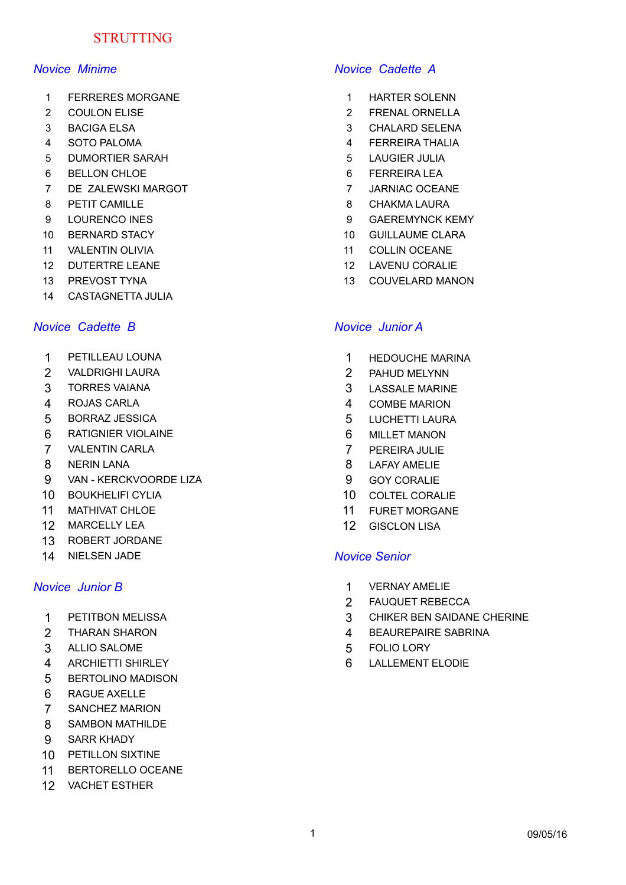# **STRUTTING**

- 1 FERRERES MORGANE 1 HARTER SOLENN
- 
- 
- 
- 5 DUMORTIER SARAH 5 LAUGIER JULIA
- 6 BELLON CHLOE 6 FERREIRA LEA
- 7 DE ZALEWSKI MARGOT **1999 ENGLEVEN SERVIS EN 1999 EN 2018 ENGLEVEN SERVIS EN 2019**
- 8 PETIT CAMILLE **8 CHAKMA LAURA**
- 
- 
- 11 VALENTIN OLIVIA 11 COLLIN OCEANE
- 12 DUTERTRE LEANE 12 LAVENU CORALIE
- 
- 14 CASTAGNETTA JULIA

## *Novice Cadette B Novice Junior A*

- 
- 2 VALDRIGHI LAURA 2 PAHUD MELYNN
- 
- 
- 5 BORRAZ JESSICA 5 LUCHETTI LAURA
- 6 RATIGNIER VIOLAINE 6 MILLET MANON
- 7 VALENTIN CARLA 7 PEREIRA JULIE
- 
- 9 VAN KERCKVOORDE LIZA 9 GOY CORALIE
- 10 BOUKHELIFI CYLIA 10 COLTEL CORALIE
- 11 MATHIVAT CHLOE 11 11 FURET MORGANE
- 12 MARCELLY LEA 12 GISCLON LISA
- 13 ROBERT JORDANE
- 14 NIELSEN JADE *Novice Senior*

- 
- 
- 3 ALLIO SALOME 5 FOLIO LORY
- 
- 5 BERTOLINO MADISON
- 6 RAGUE AXELLE
- 7 SANCHEZ MARION
- 8 SAMBON MATHILDE
- 9 SARR KHADY
- 10 PETILLON SIXTINE
- 11 BERTORELLO OCEANE
- 12 VACHET ESTHER

## *Novice Minime Novice Cadette A*

- 
- 2 COULON ELISE 2 FRENAL ORNELLA
- 3 BACIGA ELSA 3 CHALARD SELENA
- 4 SOTO PALOMA 4 FERREIRA THALIA
	-
	-
	-
	-
- 9 LOURENCO INES 2008 2012 10 DIRENT 2009 2012 10 DIRENT 9 GAEREMYNCK KEMY
- 10 BERNARD STACY **10 GUILLAUME CLARA** 
	-
	-
- 13 PREVOST TYNA 13 COUVELARD MANON

- 1 PETILLEAU LOUNA 1 HEDOUCHE MARINA
	-
- 3 TORRES VAIANA 3 LASSALE MARINE
- 4 ROJAS CARLA 4 COMBE MARION
	-
	-
	-
- 8 NERIN LANA 8 LAFAY AMELIE
	-
	-
	-
	-

- *Novice Junior B* 1 VERNAY AMELIE
	- 2 FAUQUET REBECCA
	- 1 PETITBON MELISSA 3 CHIKER BEN SAIDANE CHERINE
	- 2 THARAN SHARON **12 SEALES 2018 12 SEAUREPAIRE SABRINA** 
		-
	- 4 ARCHIETTI SHIRLEY 6 LALLEMENT ELODIE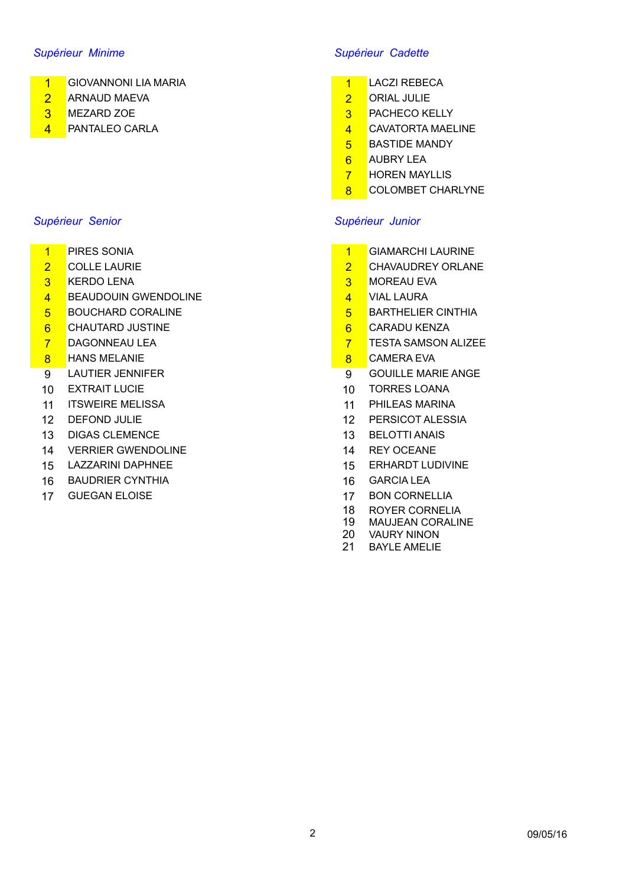- 1 GIOVANNONI LIA MARIA 1 LACZI REBECA
- 2 ARNAUD MAEVA 2 ORIAL JULIE
- 
- 

### *Supérieur Senior Supérieur Junior*

- 
- 
- 
- 4 BEAUDOUIN GWENDOLINE A LOT AND HALLAURA
- 5 BOUCHARD CORALINE **5 BARTHELIER CINTHIA**
- 6 CHAUTARD JUSTINE **6 CARADU KENZA**
- 
- 8 HANS MELANIE COMERA EVA
- 
- 
- 11 ITSWEIRE MELISSA 11 PHILEAS MARINA
- 
- 13 DIGAS CLEMENCE 13 BELOTTI ANAIS
- 14 VERRIER GWENDOLINE 14 REY OCEANE
- 15 LAZZARINI DAPHNEE 15 CRHARDT LUDIVINE
- 16 BAUDRIER CYNTHIA 16 GARCIA LEA
- 

## *Supérieur Minime Supérieur Cadette*

- 
- 
- 3 MEZARD ZOE 3 PACHECO KELLY
- 4 PANTALEO CARLA 2008 CAVATORTA MAELINE
	- **5** BASTIDE MANDY
	- 6 AUBRY LEA
	- **7** HOREN MAYLLIS
	- 8 COLOMBET CHARLYNE

- 1 PIRES SONIA 2008 2009 2010 2020 2020 2020 2020 2020 2020 2020 2020 2020 2020 2020 2020 2020 2020 2020 2020 2020 2020 2020 2020 2020 2020 2020 2020 2020 2020 2020
- 2 COLLE LAURIE 2 CHAVAUDREY ORLANE
- 3 KERDO LENA 3 MOREAU EVA
	-
	-
	-
- **7 DAGONNEAU LEA 7 TESTA SAMSON ALIZEE** 
	-
- 9 LAUTIER JENNIFER 19 COUILLE MARIE ANGE
- 10 EXTRAIT LUCIE 10 TORRES LOANA
	-
- 12 DEFOND JULIE 12 PERSICOT ALESSIA
	-
	-
	-
	-
- 17 GUEGAN ELOISE 17 BON CORNELLIA
	- 18 ROYER CORNELIA
	- 19 MAUJEAN CORALINE<br>20 VAURY NINON
	- **VAURY NINON**
	- 21 BAYLE AMELIE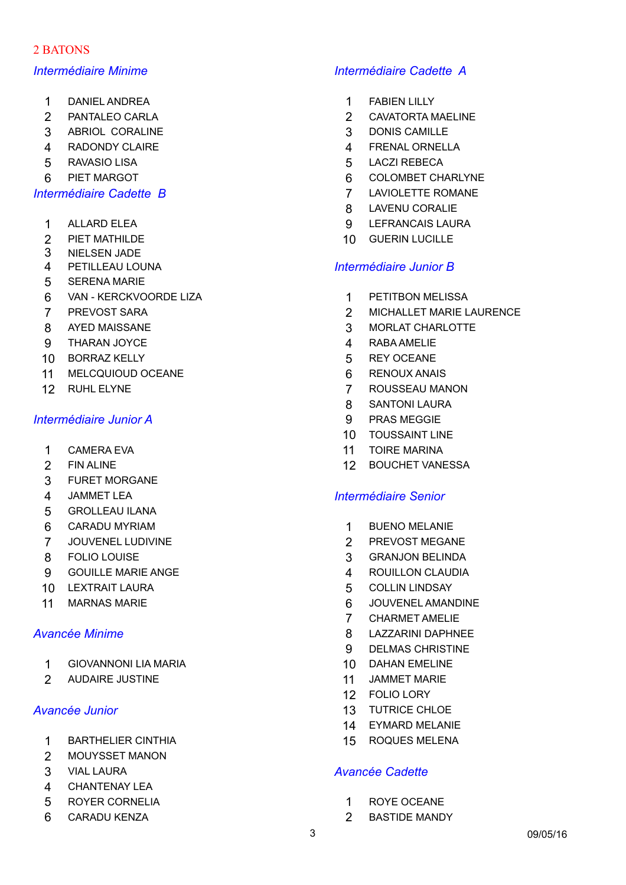# 2 BATONS

- 1 DANIEL ANDREA 1 FABIEN LILLY
- 
- 3 ABRIOL CORALINE 3 DONIS CAMILLE
- 4 RADONDY CLAIRE **4 FRENAL ORNELLA**
- 
- 

- 
- 
- 3 NIELSEN JADE
- 
- 5 SERENA MARIE
- 6 VAN KERCKVOORDE LIZA 1 PETITBON MELISSA
- 
- 
- 9 THARAN JOYCE 2008 1999 12:00 12:00 12:00 12:00 12:00 12:00 12:00 12:00 12:00 12:00 12:00 12:00 12:00 12:00 12:00 12:00 12:00 12:00 12:00 12:00 12:00 12:00 12:00 12:00 12:00 12:00 12:00 12:00 12:00 12:00 12:00 12:00 12:00
- 10 BORRAZ KELLY 5 REY OCEANE
- 11 MELCQUIOUD OCEANE 6 RENOUX ANAIS
- 

## *Intermédiaire Junior A* 9 PRAS MEGGIE

- 
- 
- 3 FURET MORGANE
- 
- 5 GROLLEAU ILANA
- 6 CARADU MYRIAM 1 BUENO MELANIE
- 7 JOUVENEL LUDIVINE 2 PREVOST MEGANE
- 
- 9 GOUILLE MARIE ANGE 4 ROUILLON CLAUDIA
- 10 LEXTRAIT LAURA 5 COLLIN LINDSAY
- 

- 1 GIOVANNONI LIA MARIA 10 DAHAN EMELINE
- 2 AUDAIRE JUSTINE 11 JAMMET MARIE

- 1 BARTHELIER CINTHIA 15 ROQUES MELENA
- 2 MOUYSSET MANON
- 
- 4 CHANTENAY LEA
- 5 ROYER CORNELIA 1 ROYE OCEANE
- 6 CARADU KENZA 2 BASTIDE MANDY

# *Intermédiaire Minime Intermédiaire Cadette A*

- 
- 2 PANTALEO CARLA 2 CAVATORTA MAELINE
	-
	-
- 5 RAVASIO LISA 5 LACZI REBECA
- 6 PIET MARGOT 6 COLOMBET CHARLYNE
- *Intermédiaire Cadette B* 7 LAVIOLETTE ROMANE
	- 8 LAVENU CORALIE
	- 1 ALLARD ELEA 9 LEFRANCAIS LAURA
	- 2 PIET MATHILDE 10 GUERIN LUCILLE<br>3 NIFI SEN JADE

## 4 PETILLEAU LOUNA *Intermédiaire Junior B*

- 
- 7 PREVOST SARA 2 MICHALLET MARIE LAURENCE
- 8 AYED MAISSANE 3 MORLAT CHARLOTTE
	-
	-
	-
- 12 RUHL ELYNE 7 ROUSSEAU MANON
	- 8 SANTONI LAURA
	-
	- 10 TOUSSAINT LINE
- 1 CAMERA EVA 11 TOIRE MARINA
- 2 FIN ALINE 2000 12 BOUCHET VANESSA

### 4 JAMMET LEA *Intermédiaire Senior*

- 
- 
- 8 FOLIO LOUISE 3 GRANJON BELINDA
	-
	-
- 11 MARNAS MARIE **12 OCC 12 OCC 12 OCC 12 OCC 12 OCC 12 OCC 12 OCC 12 OCC 12 OCC 12 OCC 12 OCC 12 OCC 12 OCC 12 OCC 12 OCC 12 OCC 12 OCC 12 OCC 12 OCC 12 OCC 12 OCC 12 OCC 12 OCC 12 OCC 12 OCC 12 OCC 12 OCC 12 OCC 12 OCC 12** 
	- 7 CHARMET AMELIE
- *Avancée Minime* 8 LAZZARINI DAPHNEE
	- 9 DELMAS CHRISTINE
	-
	-
	- 12 FOLIO LORY
- *Avancée Junior* 13 TUTRICE CHLOE
	- 14 EYMARD MELANIE
	-

## 3 VIAL LAURA *Avancée Cadette*

- 
-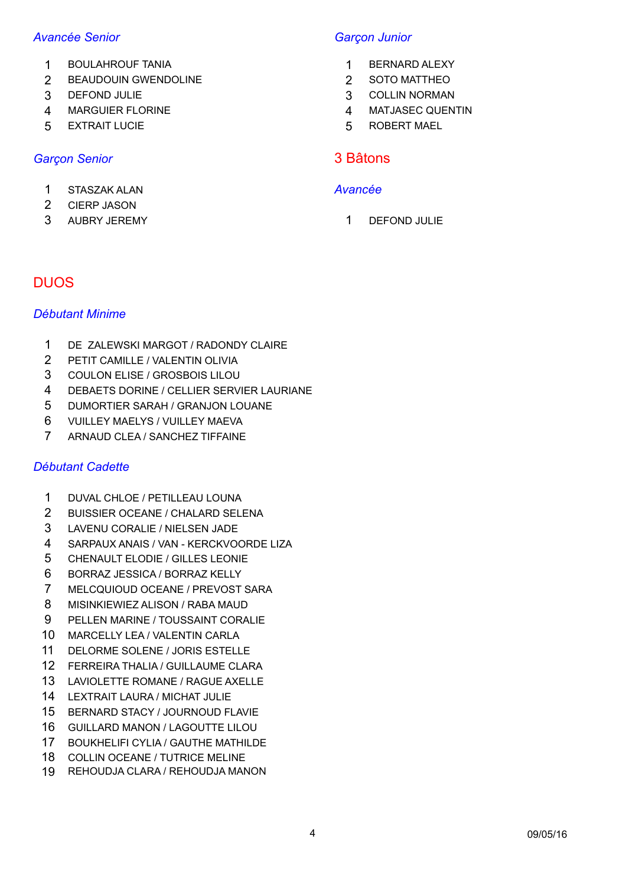## *Avancée Senior Garçon Junior*

- 1 BOULAHROUF TANIA 1 BERNARD ALEXY
- 2 BEAUDOUIN GWENDOLINE 2 30TO MATTHEO
- 
- MARGUIER FLORINE 4 MATJASEC QUENTIN
- EXTRAIT LUCIE 5 ROBERT MAEL

# **Garcon Senior** 3 Bâtons

## STASZAK ALAN *Avancée*

- CIERP JASON
- 3 AUBRY JEREMY 1 DEFOND JULIE

- 
- 
- DEFOND JULIE 3 COLLIN NORMAN
	-
	-

# DUOS

## *Débutant Minime*

- DE ZALEWSKI MARGOT / RADONDY CLAIRE
- PETIT CAMILLE / VALENTIN OLIVIA
- COULON ELISE / GROSBOIS LILOU
- DEBAETS DORINE / CELLIER SERVIER LAURIANE
- DUMORTIER SARAH / GRANJON LOUANE
- VUILLEY MAELYS / VUILLEY MAEVA
- ARNAUD CLEA / SANCHEZ TIFFAINE

## *Débutant Cadette*

- DUVAL CHLOE / PETILLEAU LOUNA
- BUISSIER OCEANE / CHALARD SELENA
- LAVENU CORALIE / NIELSEN JADE
- SARPAUX ANAIS / VAN KERCKVOORDE LIZA
- CHENAULT ELODIE / GILLES LEONIE
- BORRAZ JESSICA / BORRAZ KELLY
- MELCQUIOUD OCEANE / PREVOST SARA
- MISINKIEWIEZ ALISON / RABA MAUD
- PELLEN MARINE / TOUSSAINT CORALIE
- MARCELLY LEA / VALENTIN CARLA
- DELORME SOLENE / JORIS ESTELLE
- FERREIRA THALIA / GUILLAUME CLARA
- LAVIOLETTE ROMANE / RAGUE AXELLE
- LEXTRAIT LAURA / MICHAT JULIE
- BERNARD STACY / JOURNOUD FLAVIE
- GUILLARD MANON / LAGOUTTE LILOU
- BOUKHELIFI CYLIA / GAUTHE MATHILDE
- COLLIN OCEANE / TUTRICE MELINE
- REHOUDJA CLARA / REHOUDJA MANON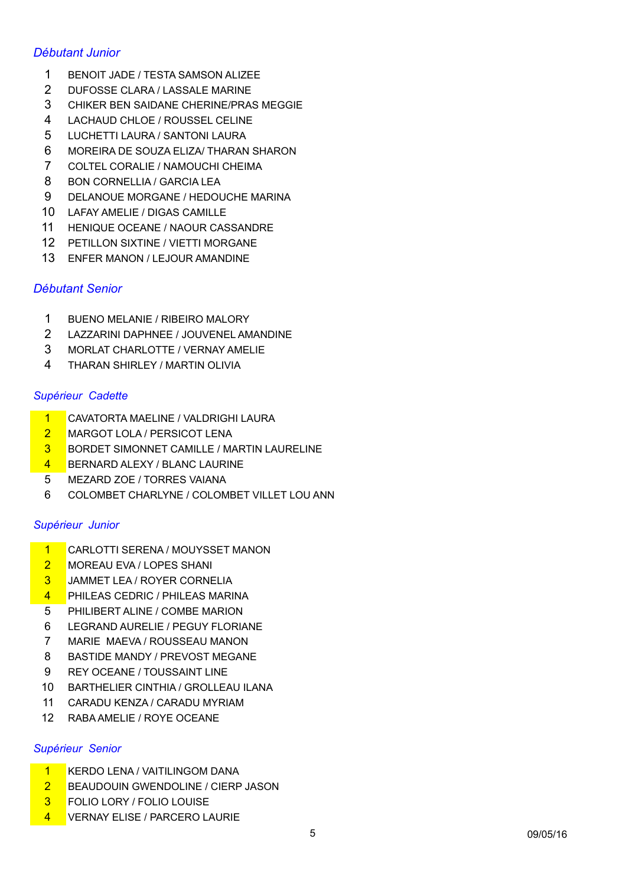# *Débutant Junior*

- BENOIT JADE / TESTA SAMSON ALIZEE
- DUFOSSE CLARA / LASSALE MARINE
- CHIKER BEN SAIDANE CHERINE/PRAS MEGGIE
- LACHAUD CHLOE / ROUSSEL CELINE
- LUCHETTI LAURA / SANTONI LAURA
- MOREIRA DE SOUZA ELIZA/ THARAN SHARON
- COLTEL CORALIE / NAMOUCHI CHEIMA
- 8 BON CORNELLIA / GARCIA LEA
- DELANOUE MORGANE / HEDOUCHE MARINA
- LAFAY AMELIE / DIGAS CAMILLE
- HENIQUE OCEANE / NAOUR CASSANDRE
- PETILLON SIXTINE / VIETTI MORGANE
- ENFER MANON / LEJOUR AMANDINE

# *Débutant Senior*

- BUENO MELANIE / RIBEIRO MALORY
- LAZZARINI DAPHNEE / JOUVENEL AMANDINE
- MORLAT CHARLOTTE / VERNAY AMELIE
- THARAN SHIRLEY / MARTIN OLIVIA

## *Supérieur Cadette*

- CAVATORTA MAELINE / VALDRIGHI LAURA
- 2 MARGOT LOLA / PERSICOT LENA
- BORDET SIMONNET CAMILLE / MARTIN LAURELINE
- BERNARD ALEXY / BLANC LAURINE
- MEZARD ZOE / TORRES VAIANA
- COLOMBET CHARLYNE / COLOMBET VILLET LOU ANN

### *Supérieur Junior*

- CARLOTTI SERENA / MOUYSSET MANON
- 2 MOREAU EVA / LOPES SHANI
- JAMMET LEA / ROYER CORNELIA
- 4 PHILEAS CEDRIC / PHILEAS MARINA
- PHILIBERT ALINE / COMBE MARION
- LEGRAND AURELIE / PEGUY FLORIANE
- MARIE MAEVA / ROUSSEAU MANON
- BASTIDE MANDY / PREVOST MEGANE
- REY OCEANE / TOUSSAINT LINE
- BARTHELIER CINTHIA / GROLLEAU ILANA
- CARADU KENZA / CARADU MYRIAM
- RABA AMELIE / ROYE OCEANE

### *Supérieur Senior*

- KERDO LENA / VAITILINGOM DANA
- 2 BEAUDOUIN GWENDOLINE / CIERP JASON
- FOLIO LORY / FOLIO LOUISE
- VERNAY ELISE / PARCERO LAURIE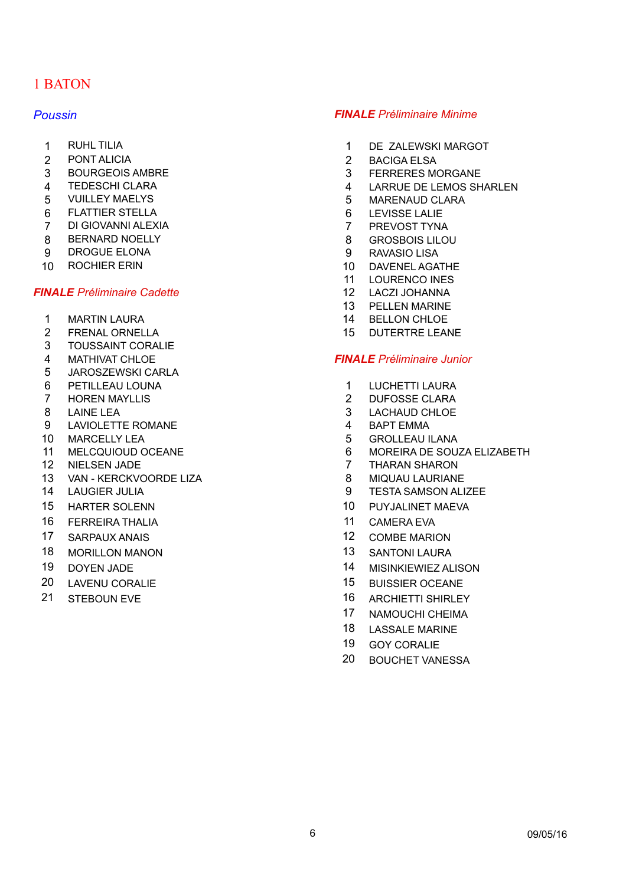# 1 BATON

- 
- 
- 
- 
- 
- 6 FLATTIER STELLA 6 LEVISSE LALIE
- 7 DI GIOVANNI ALEXIA 7 PREVOST TYNA
- 8 BERNARD NOELLY 20 8 GROSBOIS LILOU
- 9 DROGUE ELONA 9 RAVASIO LISA
- 

### *FINALE Préliminaire Cadette* 12 LACZI JOHANNA

- 1 MARTIN LAURA 14 BELLON CHLOE
- 2 FRENAL ORNELLA 15 DUTERTRE LEANE
- 3 TOUSSAINT CORALIE
- 
- 5 JAROSZEWSKI CARLA
- 6 PETILLEAU LOUNA 1 LUCHETTI LAURA
- 7 HOREN MAYLLIS 2 DUFOSSE CLARA
- 
- 9 LAVIOLETTE ROMANE 4 BAPT EMMA
- 10 MARCELLY LEA 6 1 2 3 3 4 4 5 5 6 6 5 6 6 5 6 6 7 4 5 6 7 7 8 7 8 7 7 8 7 7 8 7 8 7 8 7 7 8 7 8 7 8 7 8 7 8 7 8 7 8 7 8 7 8 7 8 7 8 7 8 7 8 7 8 7 8 7 8 7 8 7 8 7 8 7 8 7 8 7 8 7 8 7 8 7 8 7 8 7 8 7 8 7 8 7 8 7 8 7 8 7 8
- 
- 
- 13 VAN KERCKVOORDE LIZA 8 MIQUAU LAURIANE
- 
- 
- 16 FERREIRA THALIA 16 NOVEMBER 11 CAMERA EVA
- 
- 18 MORILLON MANON 13 SANTONI LAURA
- 
- 
- 

### *Poussin FINALE Préliminaire Minime*

- 1 RUHL TILIA 1 DE ZALEWSKI MARGOT
- 2 PONT ALICIA 2 BACIGA ELSA
- 3 BOURGEOIS AMBRE 2012 12:00 2012 13 FERRERES MORGANE
- 4 TEDESCHI CLARA 4 LARRUE DE LEMOS SHARLEN
- 5 VUILLEY MAELYS 5 MARENAUD CLARA
	-
	-
	-
	-
- 10 ROCHIER ERIN 10 DAVENEL AGATHE
	- 11 LOURENCO INES
	-
	- 13 PELLEN MARINE
	-
	-

### 4 MATHIVAT CHLOE *FINALE Préliminaire Junior*

- 
- 
- 8 LAINE LEA 3 LACHAUD CHLOE
	-
	-
- 11 MELCQUIOUD OCEANE 6 MOREIRA DE SOUZA ELIZABETH
- 12 NIELSEN JADE 7 THARAN SHARON
	-
- 14 LAUGIER JULIA 9 TESTA SAMSON ALIZEE
- 15 HARTER SOLENN 10 PUYJALINET MAEVA
	-
- 17 SARPAUX ANAIS 12 COMBE MARION
	-
- 19 DOYEN JADE 14 MISINKIEWIEZ ALISON
- 20 LAVENU CORALIE 15 BUISSIER OCEANE
- 21 STEBOUN EVE 21 ARCHIETTI SHIRLEY
	- 17 NAMOUCHI CHEIMA
	- 18 LASSALE MARINE
	- 19 GOY CORALIE
	- 20 BOUCHET VANESSA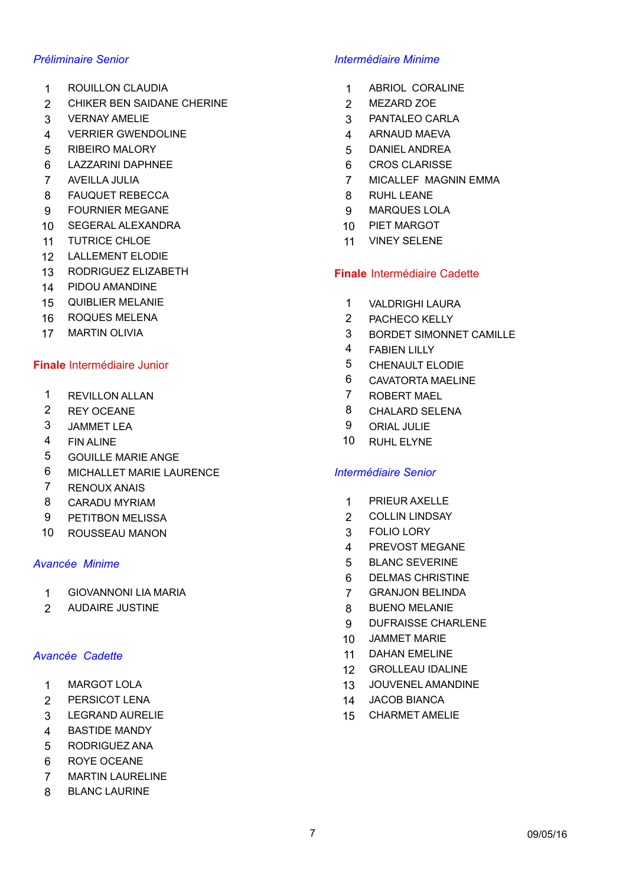- 1 ROUILLON CLAUDIA 1 ABRIOL CORALINE
- 2 CHIKER BEN SAIDANE CHERINE 2 2 MEZARD ZOE
- 
- 4 VERRIER GWENDOLINE 4 ARNAUD MAEVA
- 5 RIBEIRO MALORY 5 DANIEL ANDREA
- 6 LAZZARINI DAPHNEE 6 CROS CLARISSE
- 
- 8 FAUQUET REBECCA 8 RUHL LEANE
- 9 FOURNIER MEGANE 9 MARQUES LOLA
- 10 SEGERAL ALEXANDRA 10 10 PIET MARGOT
- 11 TUTRICE CHLOE 11 VINEY SELENE
- 12 LALLEMENT ELODIE
- 13 RODRIGUEZ ELIZABETH **Finale** Intermédiaire Cadette
- 14 PIDOU AMANDINE
- 15 QUIBLIER MELANIE 15 VALDRIGHI LAURA
- 16 ROQUES MELENA 2 PACHECO KELLY
- 

### **Finale** Intermédiaire Junior 5 CHENAULT ELODIE

- 1 REVILLON ALLAN 7 ROBERT MAEL
- 
- 
- 
- 5 GOUILLE MARIE ANGE
- 6 MICHALLET MARIE LAURENCE *Intermédiaire Senior*
- 7 RENOUX ANAIS
- 
- 9 PETITBON MELISSA 2 COLLIN LINDSAY
- 10 ROUSSEAU MANON 3 FOLIO LORY

- 1 GIOVANNONI LIA MARIA 1999 PERANJON BELINDA
- 2 AUDAIRE JUSTINE 8 BUENO MELANIE

- 
- 2 PERSICOT LENA 14 JACOB BIANCA
- 3 LEGRAND AURELIE 15 CHARMET AMELIE
- 4 BASTIDE MANDY
- 5 RODRIGUEZ ANA
- 6 ROYE OCEANE
- 7 MARTIN LAURELINE
- 8 BLANC LAURINE

### *Préliminaire Senior Intermédiaire Minime*

- 
- 
- 3 VERNAY AMELIE 3 PANTALEO CARLA
	-
	-
	-
- 7 AVEILLA JULIA 7 MICALLEF MAGNIN EMMA
	-
	-
	-
	-

- 
- 
- 17 MARTIN OLIVIA 2008 12 MB 2008 12 MB 3 BORDET SIMONNET CAMILLE
	- 4 FABIEN LILLY
	-
	- 6 CAVATORTA MAELINE
	-
- 2 REY OCEANE 8 CHALARD SELENA
- 3 JAMMET LEA 9 ORIAL JULIE
- 4 FIN ALINE 10 RUHL ELYNE

- 8 CARADU MYRIAM 1 PRIEUR AXELLE
	-
	-
	- 4 PREVOST MEGANE
- *Avancée Minime* 5 BLANC SEVERINE
	- 6 DELMAS CHRISTINE
	-
	-
	- 9 DUFRAISSE CHARLENE
	- 10 JAMMET MARIE
- **Avancée Cadette** 11 DAHAN EMELINE
	- 12 GROLLEAU IDALINE
	- 1 MARGOT LOLA 13 JOUVENEL AMANDINE
		-
		-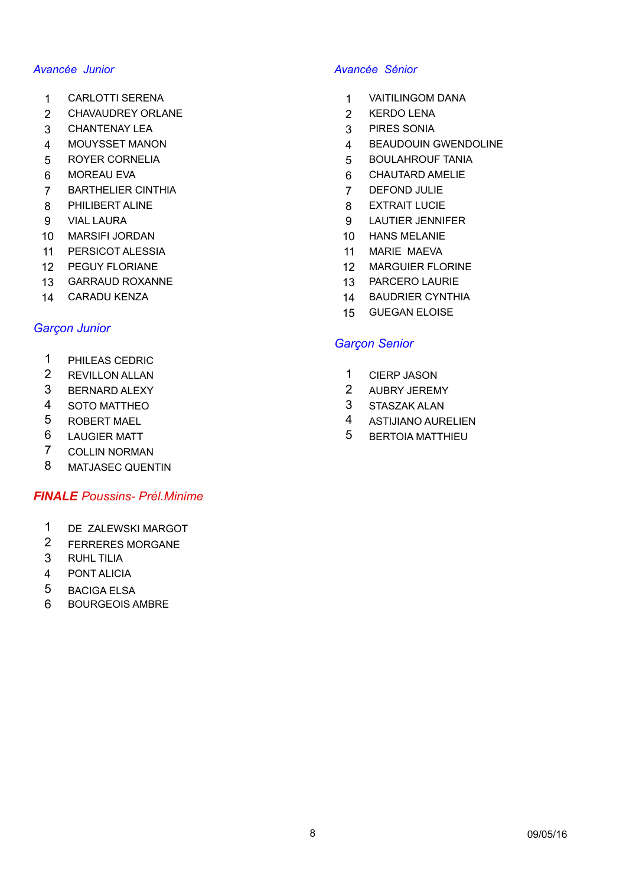- 
- 2 CHAVAUDREY ORLANE 2 2 KERDO LENA
- 3 CHANTENAY LEA 3 PIRES SONIA
- 
- 5 ROYER CORNELIA 5 BOULAHROUF TANIA
- 
- 7 BARTHELIER CINTHIA 7 DEFOND JULIE
- 8 PHILIBERT ALINE 8 EXTRAIT LUCIE
- 
- 10 MARSIFI JORDAN 10 HANS MELANIE
- 11 PERSICOT ALESSIA 11 MARIE MAEVA
- 
- 13 GARRAUD ROXANNE 13 PARCERO LAURIE
- 

## *Garçon Junior*

- 1 PHILEAS CEDRIC
- 
- 
- 
- 
- 
- 7 COLLIN NORMAN
- 8 MATJASEC QUENTIN

### *FINALE Poussins- Prél.Minime*

- 1 DE ZALEWSKI MARGOT
- 2 FERRERES MORGANE
- 3 RUHL TILIA
- 4 PONT ALICIA
- 5 BACIGA ELSA
- 6 BOURGEOIS AMBRE

### *Avancée Junior Avancée Sénior*

- 1 CARLOTTI SERENA 1 VAITILINGOM DANA
	-
	-
- 4 MOUYSSET MANON 4 BEAUDOUIN GWENDOLINE
	-
- 6 MOREAU EVA **6 CHAUTARD AMELIE** 
	-
	-
- 9 VIAL LAURA 9 LAUTIER JENNIFER
	-
	-
- 12 PEGUY FLORIANE 12 MARGUIER FLORINE
	-
- 14 CARADU KENZA 14 BAUDRIER CYNTHIA
	- 15 GUEGAN ELOISE

### *Garçon Senior*

- 2 REVILLON ALLAN 2 REVILLON ALLAN
- 3 BERNARD ALEXY 2 AUBRY JEREMY
- 4 SOTO MATTHEO 3 STASZAK ALAN
- 5 ROBERT MAEL 4 ASTIJIANO AURELIEN
- 6 LAUGIER MATT SALL STREET STREET STREET AND THE SERIES OF BERTOIA MATTHIEU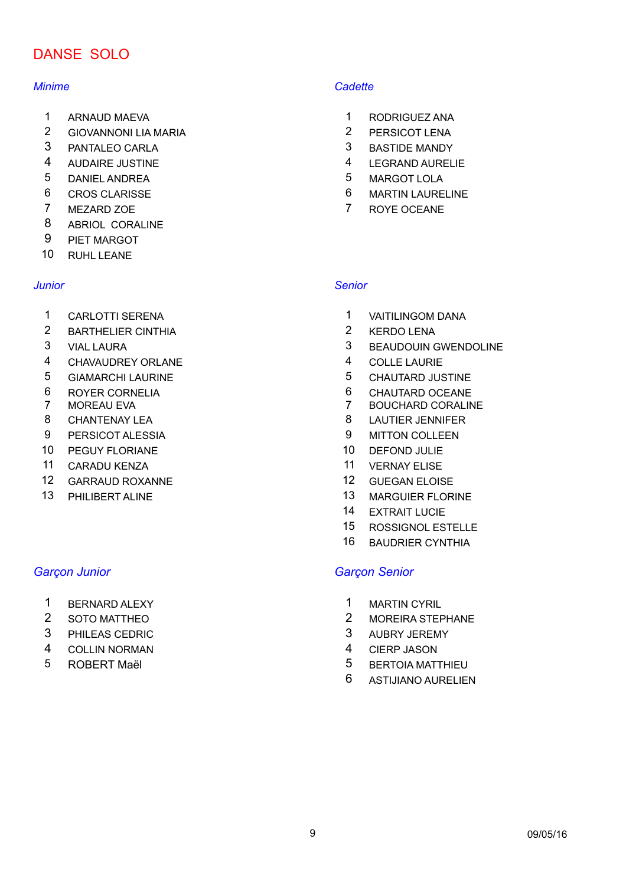# DANSE SOLO

- 
- 2 GIOVANNONI LIA MARIA 2 PERSICOT LENA
- 3 PANTALEO CARLA 3 BASTIDE MANDY
- 
- 5 DANIEL ANDREA 5 MARGOT LOLA
- 
- 
- 8 ABRIOL CORALINE
- 9 PIET MARGOT
- 10 RUHL LEANE

- 1 CARLOTTI SERENA 1 VAITILINGOM DANA
- 2 BARTHELIER CINTHIA 2 KERDO LENA
- 
- 4 CHAVAUDREY ORLANE 4 COLLE LAURIE
- 
- 
- 
- 8 CHANTENAY LEA 8 LAUTIER JENNIFER
- 9 PERSICOT ALESSIA 9 MITTON COLLEEN
- 10 PEGUY FLORIANE 10 DEFOND JULIE
- 11 CARADU KENZA 11 VERNAY ELISE
- 12 GARRAUD ROXANNE 12 GUEGAN ELOISE
- 

- 1 BERNARD ALEXY 1 MARTIN CYRIL
- 
- 3 PHILEAS CEDRIC 3 AUBRY JEREMY
- 4 COLLIN NORMAN 4 CIERP JASON
- 

### *Minime Cadette*

- 1 ARNAUD MAEVA 1 RODRIGUEZ ANA
	-
	-
- 4 AUDAIRE JUSTINE 4 LEGRAND AURELIE
	-
- 6 CROS CLARISSE 6 MARTIN LAURELINE
- 7 MEZARD ZOE 7 ROYE OCEANE

### *Junior Senior*

- 
- 
- 3 VIAL LAURA 3 BEAUDOUIN GWENDOLINE
	-
- 5 GIAMARCHI LAURINE 5 CHAUTARD JUSTINE
- 6 ROYER CORNELIA 6 CHAUTARD OCEANE
- 7 MOREAU EVA 7 BOUCHARD CORALINE
	-
	-
	-
	-
	-
- 13 PHILIBERT ALINE 13 MARGUIER FLORINE
	- 14 EXTRAIT LUCIE
	- 15 ROSSIGNOL ESTELLE
	- 16 BAUDRIER CYNTHIA

### *Garçon Junior Garçon Senior*

- 
- 2 SOTO MATTHEO 2 MOREIRA STEPHANE
	-
	-
- 5 ROBERT Maël 5 BERTOIA MATTHIEU
	- 6 ASTIJIANO AURELIEN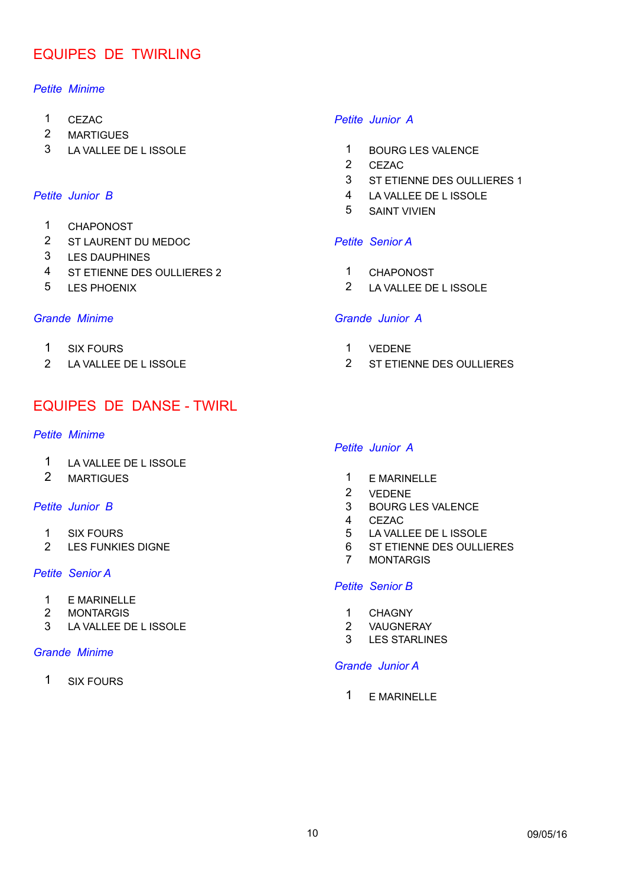# EQUIPES DE TWIRLING

### *Petite Minime*

- 
- 2 MARTIGUES
- 3 LA VALLEE DE L ISSOLE 1 BOURG LES VALENCE

- 1 CHAPONOST
- 2 ST LAURENT DU MEDOC *Petite Senior A*
- 3 LES DAUPHINES
- 4 ST ETIENNE DES OULLIERES 2 1 CHAPONOST
- 

- 1 SIX FOURS 1 VEDENE
- 

# EQUIPES DE DANSE - TWIRL

### *Petite Minime*

- 1 LA VALLEE DE L ISSOLE
- 

- 
- 

### *Petite Senior A*

- 1 E MARINELLE
- 2 MONTARGIS 1 CHAGNY
- 3 LA VALLEE DE LISSOLE 2 VAUGNERAY

### *Grande Minime*

1 SIX FOURS

### 1 CEZAC *Petite Junior A*

- 
- 2 CEZAC
- 3 ST ETIENNE DES OULLIERES 1
- **Petite Junior B** 4 LA VALLEE DE L ISSOLE
	- 5 SAINT VIVIEN

- 
- 5 LES PHOENIX 2 LA VALLEE DE L ISSOLE

### *Grande Minime Grande Junior A*

- 
- 2 LA VALLEE DE L ISSOLE 2 ST ETIENNE DES OULLIERES

### *Petite Junior A*

- 2 MARTIGUES 2 MARTIGUES
	- 2 VEDENE
- **Petite Junior B** 3 BOURG LES VALENCE
	- 4 CEZAC
	- 1 SIX FOURS 6 LA VALLEE DE L ISSOLE
	- 2 LES FUNKIES DIGNE 6 ST ETIENNE DES OULLIERES
		- **MONTARGIS**

### *Petite Senior B*

- 
- 
- 3 LES STARLINES

### *Grande Junior A*

1 E MARINELLE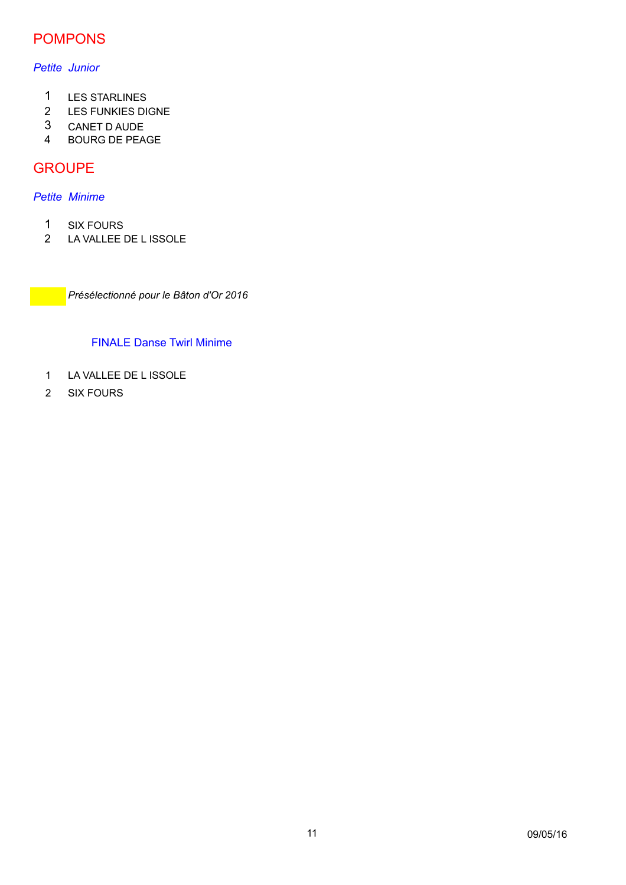# POMPONS

### *Petite Junior*

- 1 LES STARLINES
- 2 LES FUNKIES DIGNE
- 3 CANET D AUDE
- 4 BOURG DE PEAGE

# **GROUPE**

### *Petite Minime*

- 1 SIX FOURS<br>2 LA VALLEE I
- LA VALLEE DE L ISSOLE

*Présélectionné pour le Bâton d'Or 2016*

## FINALE Danse Twirl Minime

- 1 LA VALLEE DE L ISSOLE
- 2 SIX FOURS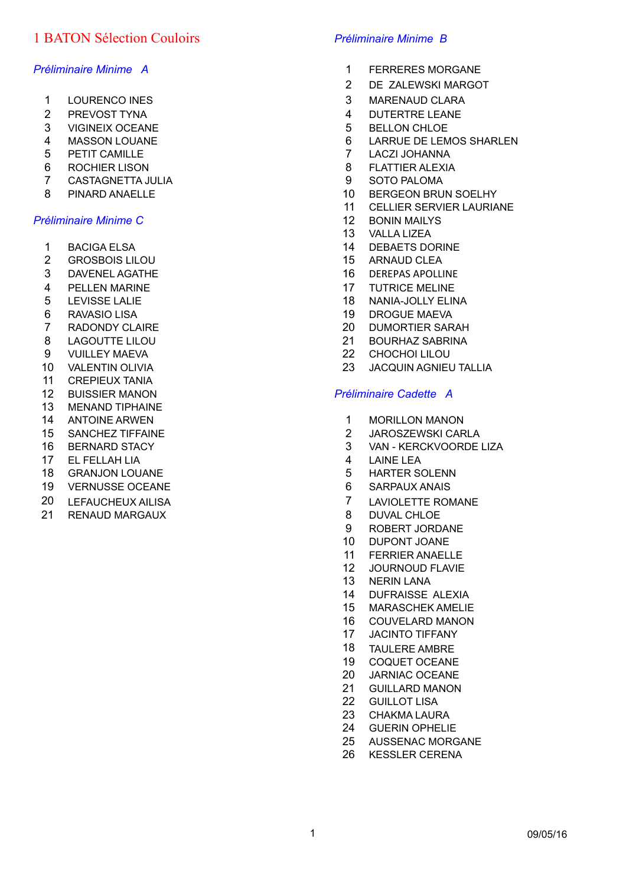# 1 BATON Sélection Couloirs *Préliminaire Minime B*

- 
- 
- VIGINEIX OCEANE 5 BELLON CHLOE
- 
- PETIT CAMILLE 7 LACZI JOHANNA
- 6 ROCHIER LISON 8 FLATTIER ALEXIA
- CASTAGNETTA JULIA 9 SOTO PALOMA
- 

### *Préliminaire Minime C* 12 BONIN MAILYS

- 
- 2 GROSBOIS LILOU 15 ARNAUD CLEA
- 3 DAVENEL AGATHE 16 DEREPAS APOLLINE
- 4 PELLEN MARINE 17 TUTRICE MELINE
- 
- 
- 
- LAGOUTTE LILOU 21 BOURHAZ SABRINA
- VUILLEY MAEVA 22 CHOCHOI LILOU
- 
- CREPIEUX TANIA
- 
- MENAND TIPHAINE
- 
- 
- 
- EL FELLAH LIA 4 LAINE LEA
- 18 GRANJON LOUANE 18 SANTONIA STARTER SOLENN
- 19 VERNUSSE OCEANE 6 SARPAUX ANAIS
- 
- 21 RENAUD MARGAUX 8 DUVAL CHLOE

- *Préliminaire Minime A* 1 FERRERES MORGANE
	- DE ZALEWSKI MARGOT
	- 1 LOURENCO INES 2012 10:00 10:00 10:00 10:00 10:00 10:00 10:00 10:00 10:00 10:00 10:00 10:00 10:00 10:00 10:00 10:00 10:00 10:00 10:00 10:00 10:00 10:00 10:00 10:00 10:00 10:00 10:00 10:00 10:00 10:00 10:00 10:00 10:00 10:
	- 2 PREVOST TYNA 2 2 PREVOST TYNA
		-
	- MASSON LOUANE 6 LARRUE DE LEMOS SHARLEN
		-
		-
		-
	- 8 PINARD ANAELLE 10 BERGEON BRUN SOELHY
		- CELLIER SERVIER LAURIANE
		-
		- VALLA LIZEA
	- 1 BACIGA ELSA 14 DEBAETS DORINE
		-
		-
		-
	- 5 LEVISSE LALIE 18 NANIA-JOLLY ELINA
	- 6 RAVASIO LISA 19 DROGUE MAEVA
	- RADONDY CLAIRE 20 DUMORTIER SARAH
		-
		-
	- VALENTIN OLIVIA 23 JACQUIN AGNIEU TALLIA

### BUISSIER MANON *Préliminaire Cadette A*

- 14 ANTOINE ARWEN 15 1 MORILLON MANON
- SANCHEZ TIFFAINE 2 JAROSZEWSKI CARLA
- BERNARD STACY 3 VAN KERCKVOORDE LIZA
	-
	-
	-
- 20 LEFAUCHEUX AILISA 20 LAVIOLETTE ROMANE
	-
	- ROBERT JORDANE
	- DUPONT JOANE
	- FERRIER ANAELLE
	- JOURNOUD FLAVIE
	- NERIN LANA
	- DUFRAISSE ALEXIA
	- MARASCHEK AMELIE
	- COUVELARD MANON
	- JACINTO TIFFANY
	- TAULERE AMBRE
	- COQUET OCEANE
	- JARNIAC OCEANE
	- GUILLARD MANON
	- GUILLOT LISA
	- CHAKMA LAURA
	- GUERIN OPHELIE
	- AUSSENAC MORGANE
	- KESSLER CERENA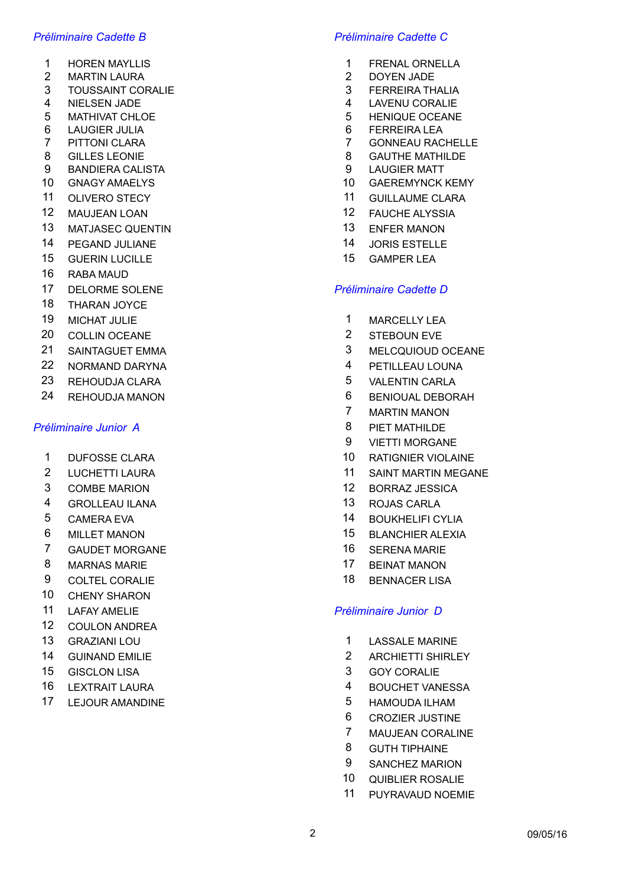- 
- 2 MARTIN LAURA 2 DOYEN JADE
- 3 TOUSSAINT CORALIE 3 FERREIRA THALIA
- 
- 5 MATHIVAT CHLOE 5 HENIQUE OCEANE
- 6 LAUGIER JULIA 6 FERREIRA LEA
- 
- 
- 9 BANDIERA CALISTA 9 LAUGIER MATT
- 
- 
- 
- 13 MATJASEC QUENTIN 13 ENFER MANON
- 14 PEGAND JULIANE 14 JORIS ESTELLE
- 15 GUERIN LUCILLE 15 GAMPER LEA
- 16 RABA MAUD
- 17 DELORME SOLENE *Préliminaire Cadette D*
- 18 THARAN JOYCE
- 
- 20 COLLIN OCEANE 2 STEBOUN EVE
- 
- 22 NORMAND DARYNA 4 PETILLEAU LOUNA
- 23 REHOUDJA CLARA 5 VALENTIN CARLA
- 

## **Préliminaire Junior A** 2008 and 2009 and 2009 and 2009 and 2009 and 2009 and 2009 and 2009 and 2009 and 2009 and 2009 and 2009 and 2009 and 2009 and 2009 and 2009 and 2009 and 2009 and 2009 and 2009 and 2009 and 2009 and

- 
- 
- 
- 4 GROLLEAU ILANA 13 ROJAS CARLA
- 
- 
- 7 GAUDET MORGANE 16 SERENA MARIE
- 8 MARNAS MARIE 2008 17 BEINAT MANON
- 9 COLTEL CORALIE 18 BENNACER LISA
- 10 CHENY SHARON
- 
- 12 COULON ANDREA
- 
- 
- 
- 
- 17 LEJOUR AMANDINE **17** LEJOUR AMANDINE

### *Préliminaire Cadette B Préliminaire Cadette C*

- 1 HOREN MAYLLIS 2002 2003 1 FRENAL ORNELLA
	-
	-
- 4 NIELSEN JADE 4 LAVENU CORALIE
	-
	-
- 7 PITTONI CLARA 7 GONNEAU RACHELLE
- 8 GILLES LEONIE 8 GAUTHE MATHILDE
	-
- 10 GNAGY AMAELYS 10 GAEREMYNCK KEMY
- 11 OLIVERO STECY **11 GUILLAUME CLARA**
- 12 MAUJEAN LOAN 12 FAUCHE ALYSSIA
	-
	-
	-

- 19 MICHAT JULIE 2001 10 MARCELLY LEA
	-
- 21 SAINTAGUET EMMA 3 MELCQUIOUD OCEANE
	-
	-
- 24 REHOUDJA MANON 6 BENIOUAL DEBORAH
	- 7 MARTIN MANON
	-
	- 9 VIETTI MORGANE
- 1 DUFOSSE CLARA 10 RATIGNIER VIOLAINE
- 2 LUCHETTI LAURA 11 SAINT MARTIN MEGANE
- 3 COMBE MARION 12 BORRAZ JESSICA
	-
- 5 CAMERA EVA 14 BOUKHELIFI CYLIA
- 6 MILLET MANON 15 BLANCHIER ALEXIA
	-
	-
	-

### 11 LAFAY AMELIE *Préliminaire Junior D*

- 13 GRAZIANI LOU 1 LASSALE MARINE
- 14 GUINAND EMILIE 2 ARCHIETTI SHIRLEY
- 15 GISCLON LISA 3 GOY CORALIE
- 16 LEXTRAIT LAURA **16 LEXTRAIT LAURA** 16 LEAD 14 BOUCHET VANESSA
	-
	- 6 CROZIER JUSTINE
	- 7 MAUJEAN CORALINE
	- 8 GUTH TIPHAINE
	- 9 SANCHEZ MARION
	- 10 QUIBLIER ROSALIE
	- 11 PUYRAVAUD NOEMIE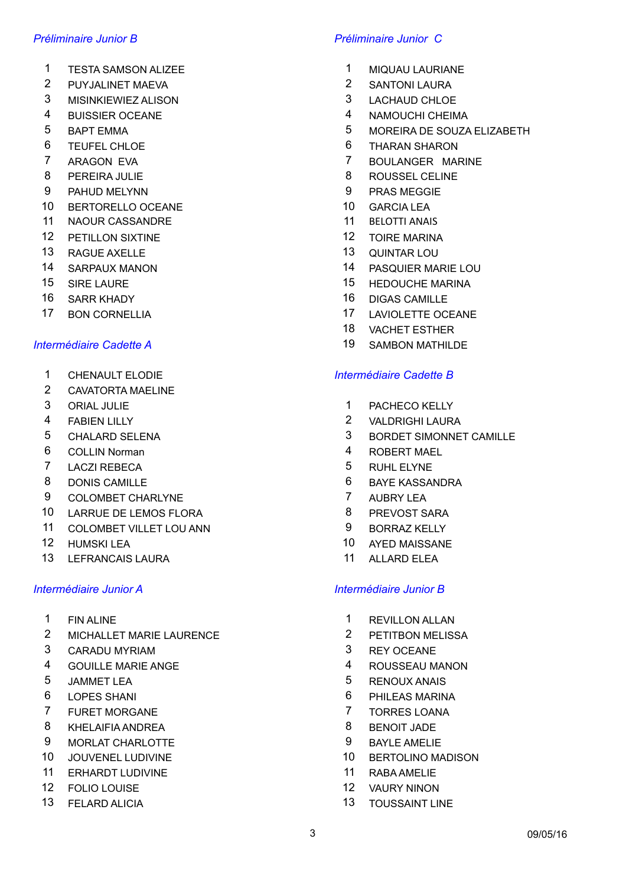- 1 TESTA SAMSON ALIZEE 1 MIQUAU LAURIANE
- 2 PUYJALINET MAEVA 2 SANTONI LAURA
- 3 MISINKIEWIEZ ALISON 3 LACHAUD CHLOE
- 
- 
- 
- 
- 
- 9 PAHUD MELYNN 9 PRAS MEGGIE
- 10 BERTORELLO OCEANE 10 GARCIA LEA
- 11 NAOUR CASSANDRE 11 BELOTTI ANAIS
- 12 PETILLON SIXTINE 12 TOIRE MARINA
- 13 RAGUE AXELLE 13 QUINTAR LOU
- 
- 
- 
- 

- 
- 2 CAVATORTA MAELINE
- 
- 
- 
- 6 COLLIN Norman 4 ROBERT MAEL
- 7 LACZI REBECA 5 RUHL ELYNE
- 8 DONIS CAMILLE **1999 CONINGLE 2008** 6 BAYE KASSANDRA
- 9 COLOMBET CHARLYNE 7 AUBRY LEA
- 10 LARRUE DE LEMOS FLORA 8 PREVOST SARA
- 11 COLOMBET VILLET LOU ANN 9 BORRAZ KELLY
- 
- 13 LEFRANCAIS LAURA 11 ALLARD ELEA

- 
- 2 MICHALLET MARIE LAURENCE 2 PETITBON MELISSA
- 3 CARADU MYRIAM 3 REY OCEANE
- 4 GOUILLE MARIE ANGE 4 ROUSSEAU MANON
- 
- 
- 7 FURET MORGANE 7 TORRES LOANA
- 8 KHELAIFIA ANDREA 8 BENOIT JADE
- 9 MORLAT CHARLOTTE 9 BAYLE AMELIE
- 
- 11 ERHARDT LUDIVINE 11 RABA AMELIE
- 12 FOLIO LOUISE 12 VAURY NINON
- 

### *Préliminaire Junior B Préliminaire Junior C*

- 
- 
- 
- 4 BUISSIER OCEANE 4 NAMOUCHI CHEIMA
- 5 BAPT EMMA 5 MOREIRA DE SOUZA ELIZABETH
- 6 TEUFEL CHLOE 6 THARAN SHARON
- 7 ARAGON EVA 7 BOULANGER MARINE
- 8 PEREIRA JULIE 2009 2009 2010 2010 2010 2010 2010 2010 2010 2010 2010 2010 2010 2010 2010 2010 2010 2010 2010 2010 2010 2010 2010 2010 2010 2010 2010 2010 2010 201
	-
	-
	-
	-
	-
- 14 SARPAUX MANON 14 PASQUIER MARIE LOU
- 15 SIRE LAURE 15 HEDOUCHE MARINA
- 16 SARR KHADY 16 DIGAS CAMILLE
- 17 BON CORNELLIA 17 LAVIOLETTE OCEANE
	- 18 VACHET ESTHER
- *Intermédiaire Cadette A* 19 SAMBON MATHILDE

### 1 CHENAULT ELODIE *Intermédiaire Cadette B*

- 3 ORIAL JULIE 1 PACHECO KELLY
- 4 FABIEN LILLY 2 VALDRIGHI LAURA
- 5 CHALARD SELENA 3 BORDET SIMONNET CAMILLE
	-
	-
	-
	-
	-
	-
- 12 HUMSKI LEA 10 AYED MAISSANE
	-

### *Intermédiaire Junior A Intermédiaire Junior B*

- 1 FINALINE 1 REVILLON ALLAN
	-
	-
	-
- 5 JAMMET LEA 5 RENOUX ANAIS
- 6 LOPES SHANI 6 PHILEAS MARINA
	-
	-
	-
- 10 JOUVENEL LUDIVINE 10 BERTOLINO MADISON
	-
	-
- 13 FELARD ALICIA 13 TOUSSAINT LINE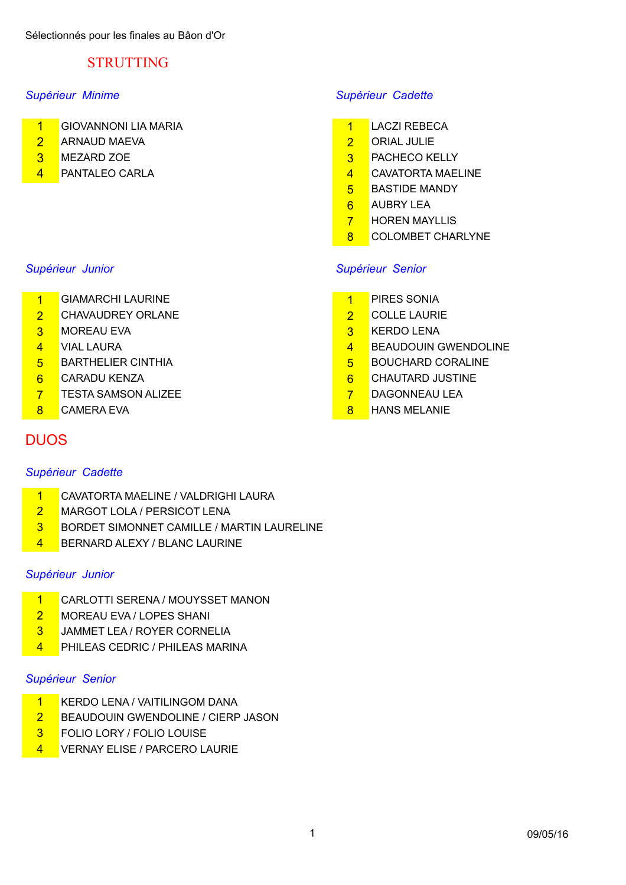# STRUTTING

- 1 GIOVANNONI LIA MARIA 1 LACZI REBECA
- 2 ARNAUD MAEVA 2 ORIAL JULIE
- 
- 

- 1 GIAMARCHI LAURINE 1 PIRES SONIA
- 2 CHAVAUDREY ORLANE 2 COLLE LAURIE
- 3 MOREAU EVA 3 KERDO LENA
- 
- 
- 
- 7 TESTA SAMSON ALIZEE 7 DAGONNEAU LEA
- 

# **DUOS**

## *Supérieur Cadette*

- 1 CAVATORTA MAELINE / VALDRIGHI LAURA
- 2 MARGOT LOLA / PERSICOT LENA
- **3** BORDET SIMONNET CAMILLE / MARTIN LAURELINE
- 4 BERNARD ALEXY / BLANC LAURINE

## *Supérieur Junior*

- 1 CARLOTTI SERENA / MOUYSSET MANON
- 2 MOREAU EVA / LOPES SHANI
- 3 JAMMET LEA / ROYER CORNELIA
- 4 PHILEAS CEDRIC / PHILEAS MARINA

### *Supérieur Senior*

- 1 KERDO LENA / VAITILINGOM DANA
- **2** BEAUDOUIN GWENDOLINE / CIERP JASON
- 3 FOLIO LORY / FOLIO LOUISE
- 4 VERNAY ELISE / PARCERO LAURIE

## *Supérieur Minime Supérieur Cadette*

- 
- 
- 3 MEZARD ZOE 3 PACHECO KELLY
- 4 PANTALEO CARLA 2008 12 CAVATORTA MAELINE
	- 5 BASTIDE MANDY
	- 6 AUBRY LEA
	- **7** HOREN MAYLLIS
	- 8 COLOMBET CHARLYNE

## *Supérieur Junior Supérieur Senior*

- 
- 
- 
- 4 VIAL LAURA 4 BEAUDOUIN GWENDOLINE
- 5 BARTHELIER CINTHIA 6 CONSTRUCTED TO BOUCHARD CORALINE
- 6 CARADU KENZA 6 CHAUTARD JUSTINE
	-
- 8 CAMERA EVA 8 HANS MELANIE